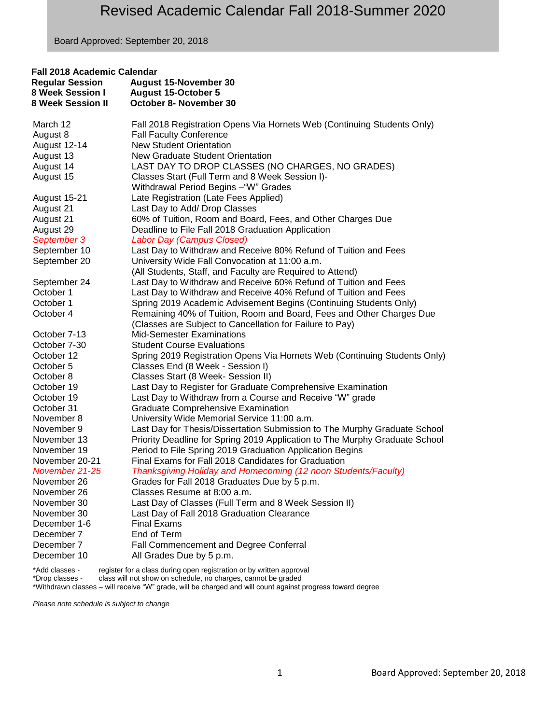Board Approved: September 20, 2018

| Fall 2018 Academic Calendar |                                                                                                                         |  |
|-----------------------------|-------------------------------------------------------------------------------------------------------------------------|--|
| <b>Regular Session</b>      | <b>August 15-November 30</b>                                                                                            |  |
| 8 Week Session I            | <b>August 15-October 5</b>                                                                                              |  |
| <b>8 Week Session II</b>    | October 8- November 30                                                                                                  |  |
| March 12                    | Fall 2018 Registration Opens Via Hornets Web (Continuing Students Only)                                                 |  |
| August 8                    | <b>Fall Faculty Conference</b>                                                                                          |  |
| August 12-14                | <b>New Student Orientation</b>                                                                                          |  |
| August 13                   | New Graduate Student Orientation                                                                                        |  |
| August 14                   | LAST DAY TO DROP CLASSES (NO CHARGES, NO GRADES)                                                                        |  |
| August 15                   | Classes Start (Full Term and 8 Week Session I)-                                                                         |  |
|                             | Withdrawal Period Begins - "W" Grades                                                                                   |  |
| August 15-21                | Late Registration (Late Fees Applied)                                                                                   |  |
| August 21                   | Last Day to Add/ Drop Classes                                                                                           |  |
| August 21                   | 60% of Tuition, Room and Board, Fees, and Other Charges Due                                                             |  |
| August 29                   | Deadline to File Fall 2018 Graduation Application                                                                       |  |
| September 3                 | Labor Day (Campus Closed)                                                                                               |  |
| September 10                | Last Day to Withdraw and Receive 80% Refund of Tuition and Fees                                                         |  |
| September 20                | University Wide Fall Convocation at 11:00 a.m.                                                                          |  |
|                             | (All Students, Staff, and Faculty are Required to Attend)                                                               |  |
| September 24                | Last Day to Withdraw and Receive 60% Refund of Tuition and Fees                                                         |  |
| October 1                   | Last Day to Withdraw and Receive 40% Refund of Tuition and Fees                                                         |  |
| October 1                   | Spring 2019 Academic Advisement Begins (Continuing Students Only)                                                       |  |
| October 4                   | Remaining 40% of Tuition, Room and Board, Fees and Other Charges Due                                                    |  |
|                             | (Classes are Subject to Cancellation for Failure to Pay)                                                                |  |
| October 7-13                | <b>Mid-Semester Examinations</b>                                                                                        |  |
| October 7-30                | <b>Student Course Evaluations</b>                                                                                       |  |
| October 12                  | Spring 2019 Registration Opens Via Hornets Web (Continuing Students Only)                                               |  |
| October 5                   | Classes End (8 Week - Session I)                                                                                        |  |
| October 8                   | Classes Start (8 Week- Session II)                                                                                      |  |
| October 19<br>October 19    | Last Day to Register for Graduate Comprehensive Examination<br>Last Day to Withdraw from a Course and Receive "W" grade |  |
| October 31                  | <b>Graduate Comprehensive Examination</b>                                                                               |  |
| November 8                  | University Wide Memorial Service 11:00 a.m.                                                                             |  |
| November 9                  | Last Day for Thesis/Dissertation Submission to The Murphy Graduate School                                               |  |
| November 13                 | Priority Deadline for Spring 2019 Application to The Murphy Graduate School                                             |  |
| November 19                 | Period to File Spring 2019 Graduation Application Begins                                                                |  |
| November 20-21              | Final Exams for Fall 2018 Candidates for Graduation                                                                     |  |
| November 21-25              | Thanksgiving Holiday and Homecoming (12 noon Students/Faculty)                                                          |  |
| November 26                 | Grades for Fall 2018 Graduates Due by 5 p.m.                                                                            |  |
| November 26                 | Classes Resume at 8:00 a.m.                                                                                             |  |
| November 30                 | Last Day of Classes (Full Term and 8 Week Session II)                                                                   |  |
| November 30                 | Last Day of Fall 2018 Graduation Clearance                                                                              |  |
| December 1-6                | <b>Final Exams</b>                                                                                                      |  |
| December 7                  | End of Term                                                                                                             |  |
| December 7                  | Fall Commencement and Degree Conferral                                                                                  |  |
| December 10                 | All Grades Due by 5 p.m.                                                                                                |  |
| $*A$                        | register for a glass during apon registration or buy written approval.                                                  |  |

\*Add classes - register for a class during open registration or by written approval \*Drop classes - class will not show on schedule, no charges, cannot be graded \*Add classes - register for a class during open registration or by written approval<br>\*Drop classes - class will not show on schedule, no charges, cannot be graded<br>\*Withdrawn classes – will receive "W" grade, will be charged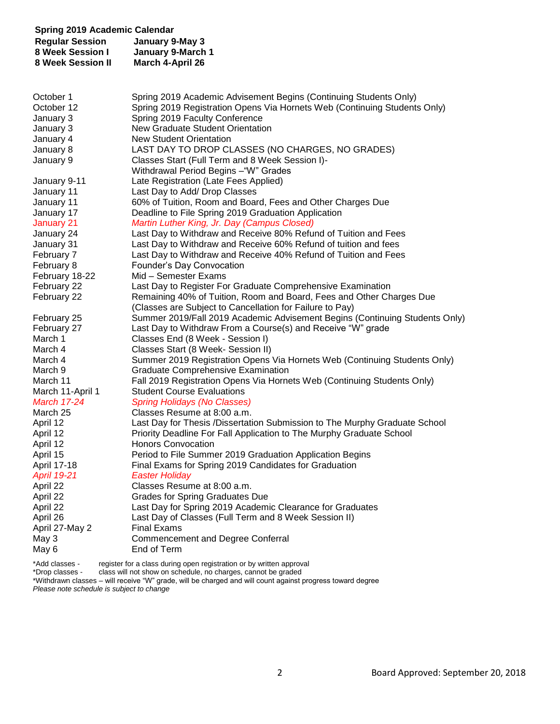| <b>Spring 2019 Academic Calendar</b><br><b>Regular Session</b><br><b>8 Week Session I</b><br>8 Week Session II | January 9-May 3<br>January 9-March 1<br>March 4-April 26                                                                         |
|----------------------------------------------------------------------------------------------------------------|----------------------------------------------------------------------------------------------------------------------------------|
|                                                                                                                |                                                                                                                                  |
| October 1                                                                                                      | Spring 2019 Academic Advisement Begins (Continuing Students Only)                                                                |
| October 12                                                                                                     | Spring 2019 Registration Opens Via Hornets Web (Continuing Students Only)                                                        |
| January 3                                                                                                      | Spring 2019 Faculty Conference                                                                                                   |
| January 3                                                                                                      | <b>New Graduate Student Orientation</b>                                                                                          |
| January 4                                                                                                      | <b>New Student Orientation</b>                                                                                                   |
| January 8                                                                                                      | LAST DAY TO DROP CLASSES (NO CHARGES, NO GRADES)                                                                                 |
| January 9                                                                                                      | Classes Start (Full Term and 8 Week Session I)-                                                                                  |
|                                                                                                                | Withdrawal Period Begins - "W" Grades                                                                                            |
| January 9-11                                                                                                   | Late Registration (Late Fees Applied)                                                                                            |
| January 11<br>January 11                                                                                       | Last Day to Add/ Drop Classes<br>60% of Tuition, Room and Board, Fees and Other Charges Due                                      |
| January 17                                                                                                     | Deadline to File Spring 2019 Graduation Application                                                                              |
| January 21                                                                                                     | Martin Luther King, Jr. Day (Campus Closed)                                                                                      |
| January 24                                                                                                     | Last Day to Withdraw and Receive 80% Refund of Tuition and Fees                                                                  |
| January 31                                                                                                     | Last Day to Withdraw and Receive 60% Refund of tuition and fees                                                                  |
| February 7                                                                                                     | Last Day to Withdraw and Receive 40% Refund of Tuition and Fees                                                                  |
| February 8                                                                                                     | Founder's Day Convocation                                                                                                        |
| February 18-22                                                                                                 | Mid - Semester Exams                                                                                                             |
| February 22                                                                                                    | Last Day to Register For Graduate Comprehensive Examination                                                                      |
| February 22                                                                                                    | Remaining 40% of Tuition, Room and Board, Fees and Other Charges Due<br>(Classes are Subject to Cancellation for Failure to Pay) |
| February 25                                                                                                    | Summer 2019/Fall 2019 Academic Advisement Begins (Continuing Students Only)                                                      |
| February 27                                                                                                    | Last Day to Withdraw From a Course(s) and Receive "W" grade                                                                      |
| March 1                                                                                                        | Classes End (8 Week - Session I)                                                                                                 |
| March 4                                                                                                        | Classes Start (8 Week- Session II)                                                                                               |
| March 4                                                                                                        | Summer 2019 Registration Opens Via Hornets Web (Continuing Students Only)                                                        |
| March 9                                                                                                        | <b>Graduate Comprehensive Examination</b>                                                                                        |
| March 11                                                                                                       | Fall 2019 Registration Opens Via Hornets Web (Continuing Students Only)                                                          |
| March 11-April 1                                                                                               | <b>Student Course Evaluations</b>                                                                                                |
| <b>March 17-24</b>                                                                                             | <b>Spring Holidays (No Classes)</b>                                                                                              |
| March 25                                                                                                       | Classes Resume at 8:00 a.m.                                                                                                      |
| April 12                                                                                                       | Last Day for Thesis /Dissertation Submission to The Murphy Graduate School                                                       |
| April 12                                                                                                       | Priority Deadline For Fall Application to The Murphy Graduate School                                                             |
| April 12<br>April 15                                                                                           | <b>Honors Convocation</b><br>Period to File Summer 2019 Graduation Application Begins                                            |
| April 17-18                                                                                                    | Final Exams for Spring 2019 Candidates for Graduation                                                                            |
| <b>April 19-21</b>                                                                                             | <b>Easter Holiday</b>                                                                                                            |
| April 22                                                                                                       | Classes Resume at 8:00 a.m.                                                                                                      |
| April 22                                                                                                       | <b>Grades for Spring Graduates Due</b>                                                                                           |
| April 22                                                                                                       | Last Day for Spring 2019 Academic Clearance for Graduates                                                                        |
| April 26                                                                                                       | Last Day of Classes (Full Term and 8 Week Session II)                                                                            |
| April 27-May 2                                                                                                 | <b>Final Exams</b>                                                                                                               |
| May 3                                                                                                          | <b>Commencement and Degree Conferral</b>                                                                                         |
| May 6                                                                                                          | End of Term                                                                                                                      |
|                                                                                                                |                                                                                                                                  |

\*Add classes - register for a class during open registration or by written approval

\*Drop classes - class will not show on schedule, no charges, cannot be graded

\*Withdrawn classes – will receive "W" grade, will be charged and will count against progress toward degree *Please note schedule is subject to change*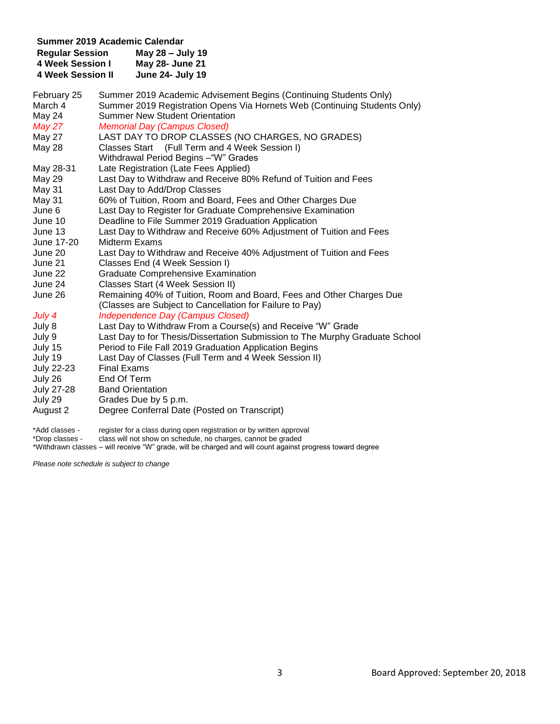| Summer 2019 Academic Calendar |                                                                                                                                  |  |  |  |
|-------------------------------|----------------------------------------------------------------------------------------------------------------------------------|--|--|--|
| <b>Regular Session</b>        | May 28 - July 19                                                                                                                 |  |  |  |
| <b>4 Week Session I</b>       | May 28- June 21                                                                                                                  |  |  |  |
| <b>4 Week Session II</b>      | <b>June 24- July 19</b>                                                                                                          |  |  |  |
| February 25                   | Summer 2019 Academic Advisement Begins (Continuing Students Only)                                                                |  |  |  |
| March 4                       | Summer 2019 Registration Opens Via Hornets Web (Continuing Students Only)                                                        |  |  |  |
| May 24                        | <b>Summer New Student Orientation</b>                                                                                            |  |  |  |
| May 27                        | <b>Memorial Day (Campus Closed)</b>                                                                                              |  |  |  |
| <b>May 27</b>                 | LAST DAY TO DROP CLASSES (NO CHARGES, NO GRADES)                                                                                 |  |  |  |
| May 28                        | Classes Start (Full Term and 4 Week Session I)                                                                                   |  |  |  |
|                               | Withdrawal Period Begins - "W" Grades                                                                                            |  |  |  |
| May 28-31                     | Late Registration (Late Fees Applied)                                                                                            |  |  |  |
| <b>May 29</b>                 | Last Day to Withdraw and Receive 80% Refund of Tuition and Fees                                                                  |  |  |  |
| May 31                        | Last Day to Add/Drop Classes                                                                                                     |  |  |  |
| May 31                        | 60% of Tuition, Room and Board, Fees and Other Charges Due                                                                       |  |  |  |
| June 6                        | Last Day to Register for Graduate Comprehensive Examination                                                                      |  |  |  |
| June 10                       | Deadline to File Summer 2019 Graduation Application                                                                              |  |  |  |
| June 13                       | Last Day to Withdraw and Receive 60% Adjustment of Tuition and Fees                                                              |  |  |  |
| June 17-20                    | Midterm Exams                                                                                                                    |  |  |  |
| June 20                       | Last Day to Withdraw and Receive 40% Adjustment of Tuition and Fees                                                              |  |  |  |
| June 21                       | Classes End (4 Week Session I)                                                                                                   |  |  |  |
| June 22                       | <b>Graduate Comprehensive Examination</b>                                                                                        |  |  |  |
| June 24                       | Classes Start (4 Week Session II)                                                                                                |  |  |  |
| June 26                       | Remaining 40% of Tuition, Room and Board, Fees and Other Charges Due<br>(Classes are Subject to Cancellation for Failure to Pay) |  |  |  |
| July 4                        | <b>Independence Day (Campus Closed)</b>                                                                                          |  |  |  |
| July 8                        | Last Day to Withdraw From a Course(s) and Receive "W" Grade                                                                      |  |  |  |
| July 9                        | Last Day to for Thesis/Dissertation Submission to The Murphy Graduate School                                                     |  |  |  |
| July 15                       | Period to File Fall 2019 Graduation Application Begins                                                                           |  |  |  |
| July 19                       | Last Day of Classes (Full Term and 4 Week Session II)                                                                            |  |  |  |
| <b>July 22-23</b>             | <b>Final Exams</b>                                                                                                               |  |  |  |
| July 26                       | End Of Term                                                                                                                      |  |  |  |
| <b>July 27-28</b>             | <b>Band Orientation</b>                                                                                                          |  |  |  |
| July 29                       | Grades Due by 5 p.m.                                                                                                             |  |  |  |
| August 2                      | Degree Conferral Date (Posted on Transcript)                                                                                     |  |  |  |

\*Add classes - register for a class during open registration or by written approval \*Drop classes - class will not show on schedule, no charges, cannot be graded \*Withdrawn classes – will receive "W" grade, will be charged and will count against progress toward degree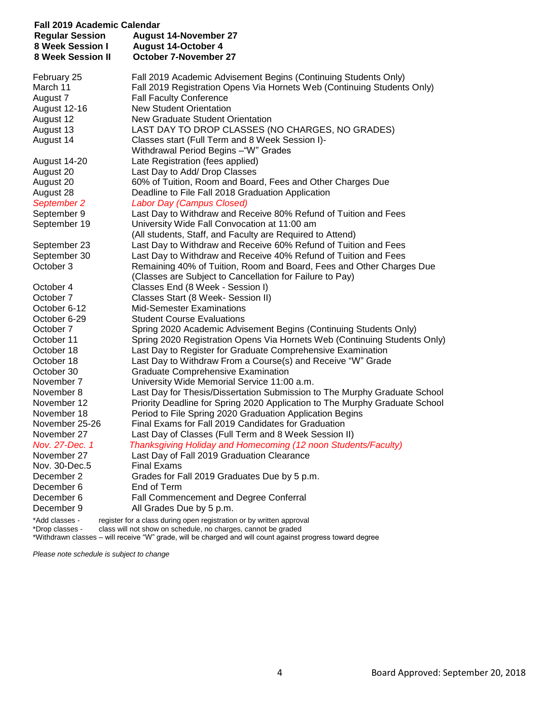| Fall 2019 Academic Calendar       |                                                                                                                                         |  |
|-----------------------------------|-----------------------------------------------------------------------------------------------------------------------------------------|--|
| <b>Regular Session</b>            | August 14-November 27                                                                                                                   |  |
| 8 Week Session I                  | <b>August 14-October 4</b>                                                                                                              |  |
| <b>8 Week Session II</b>          | <b>October 7-November 27</b>                                                                                                            |  |
| February 25                       | Fall 2019 Academic Advisement Begins (Continuing Students Only)                                                                         |  |
| March 11                          | Fall 2019 Registration Opens Via Hornets Web (Continuing Students Only)                                                                 |  |
| August 7                          | <b>Fall Faculty Conference</b>                                                                                                          |  |
| <b>August 12-16</b>               | <b>New Student Orientation</b>                                                                                                          |  |
| August 12                         | New Graduate Student Orientation                                                                                                        |  |
| August 13                         | LAST DAY TO DROP CLASSES (NO CHARGES, NO GRADES)                                                                                        |  |
| August 14                         | Classes start (Full Term and 8 Week Session I)-                                                                                         |  |
|                                   | Withdrawal Period Begins - "W" Grades                                                                                                   |  |
| August 14-20                      | Late Registration (fees applied)                                                                                                        |  |
| August 20                         | Last Day to Add/ Drop Classes                                                                                                           |  |
| August 20                         | 60% of Tuition, Room and Board, Fees and Other Charges Due                                                                              |  |
| August 28                         | Deadline to File Fall 2018 Graduation Application                                                                                       |  |
| September 2                       | <b>Labor Day (Campus Closed)</b>                                                                                                        |  |
| September 9                       | Last Day to Withdraw and Receive 80% Refund of Tuition and Fees                                                                         |  |
| September 19                      | University Wide Fall Convocation at 11:00 am                                                                                            |  |
|                                   | (All students, Staff, and Faculty are Required to Attend)                                                                               |  |
| September 23                      | Last Day to Withdraw and Receive 60% Refund of Tuition and Fees                                                                         |  |
| September 30<br>October 3         | Last Day to Withdraw and Receive 40% Refund of Tuition and Fees<br>Remaining 40% of Tuition, Room and Board, Fees and Other Charges Due |  |
|                                   | (Classes are Subject to Cancellation for Failure to Pay)                                                                                |  |
| October 4                         | Classes End (8 Week - Session I)                                                                                                        |  |
| October 7                         | Classes Start (8 Week- Session II)                                                                                                      |  |
| October 6-12                      | <b>Mid-Semester Examinations</b>                                                                                                        |  |
| October 6-29                      | <b>Student Course Evaluations</b>                                                                                                       |  |
| October 7                         | Spring 2020 Academic Advisement Begins (Continuing Students Only)                                                                       |  |
| October 11                        | Spring 2020 Registration Opens Via Hornets Web (Continuing Students Only)                                                               |  |
| October 18                        | Last Day to Register for Graduate Comprehensive Examination                                                                             |  |
| October 18                        | Last Day to Withdraw From a Course(s) and Receive "W" Grade                                                                             |  |
| October 30                        | <b>Graduate Comprehensive Examination</b>                                                                                               |  |
| November 7                        | University Wide Memorial Service 11:00 a.m.                                                                                             |  |
| November 8                        | Last Day for Thesis/Dissertation Submission to The Murphy Graduate School                                                               |  |
| November 12                       | Priority Deadline for Spring 2020 Application to The Murphy Graduate School                                                             |  |
| November 18                       | Period to File Spring 2020 Graduation Application Begins                                                                                |  |
| November 25-26                    | Final Exams for Fall 2019 Candidates for Graduation                                                                                     |  |
| November 27                       | Last Day of Classes (Full Term and 8 Week Session II)                                                                                   |  |
| Nov. 27-Dec. 1                    | Thanksgiving Holiday and Homecoming (12 noon Students/Faculty)                                                                          |  |
| November 27                       | Last Day of Fall 2019 Graduation Clearance                                                                                              |  |
| Nov. 30-Dec.5                     | <b>Final Exams</b>                                                                                                                      |  |
| December 2                        | Grades for Fall 2019 Graduates Due by 5 p.m.                                                                                            |  |
| December 6                        | End of Term                                                                                                                             |  |
| December 6                        | Fall Commencement and Degree Conferral                                                                                                  |  |
| December 9                        | All Grades Due by 5 p.m.                                                                                                                |  |
| *Add classes -<br>*Drop classes - | register for a class during open registration or by written approval<br>class will not show on schedule, no charges, cannot be graded   |  |

\*Withdrawn classes – will receive "W" grade, will be charged and will count against progress toward degree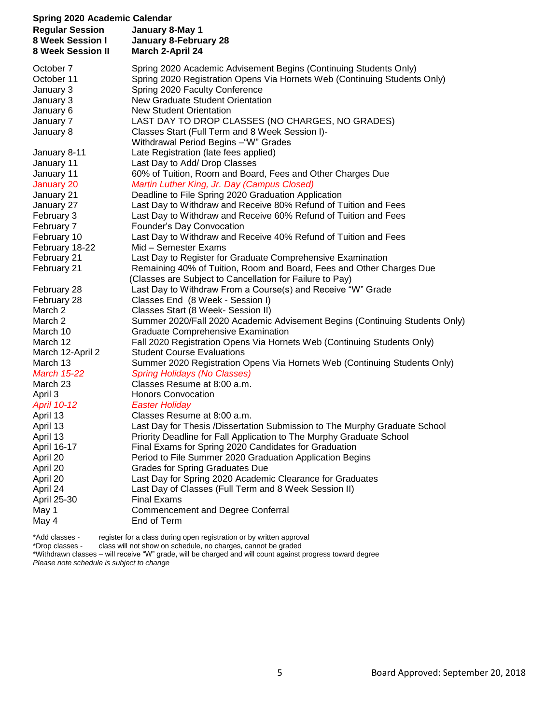| <b>Spring 2020 Academic Calendar</b><br><b>Regular Session</b><br>8 Week Session I<br>8 Week Session II | January 8-May 1<br>January 8-February 28<br>March 2-April 24                                 |
|---------------------------------------------------------------------------------------------------------|----------------------------------------------------------------------------------------------|
| October 7                                                                                               | Spring 2020 Academic Advisement Begins (Continuing Students Only)                            |
| October 11                                                                                              | Spring 2020 Registration Opens Via Hornets Web (Continuing Students Only)                    |
| January 3                                                                                               | Spring 2020 Faculty Conference                                                               |
| January 3                                                                                               | <b>New Graduate Student Orientation</b>                                                      |
| January 6                                                                                               | <b>New Student Orientation</b>                                                               |
| January 7                                                                                               | LAST DAY TO DROP CLASSES (NO CHARGES, NO GRADES)                                             |
| January 8                                                                                               | Classes Start (Full Term and 8 Week Session I)-                                              |
|                                                                                                         | Withdrawal Period Begins - "W" Grades                                                        |
| January 8-11                                                                                            | Late Registration (late fees applied)                                                        |
| January 11                                                                                              | Last Day to Add/ Drop Classes                                                                |
| January 11                                                                                              | 60% of Tuition, Room and Board, Fees and Other Charges Due                                   |
| January 20                                                                                              | Martin Luther King, Jr. Day (Campus Closed)                                                  |
| January 21                                                                                              | Deadline to File Spring 2020 Graduation Application                                          |
| January 27                                                                                              | Last Day to Withdraw and Receive 80% Refund of Tuition and Fees                              |
| February 3                                                                                              | Last Day to Withdraw and Receive 60% Refund of Tuition and Fees                              |
| February 7<br>February 10                                                                               | Founder's Day Convocation<br>Last Day to Withdraw and Receive 40% Refund of Tuition and Fees |
| February 18-22                                                                                          | Mid - Semester Exams                                                                         |
| February 21                                                                                             | Last Day to Register for Graduate Comprehensive Examination                                  |
| February 21                                                                                             | Remaining 40% of Tuition, Room and Board, Fees and Other Charges Due                         |
|                                                                                                         | (Classes are Subject to Cancellation for Failure to Pay)                                     |
| February 28                                                                                             | Last Day to Withdraw From a Course(s) and Receive "W" Grade                                  |
| February 28                                                                                             | Classes End (8 Week - Session I)                                                             |
| March 2                                                                                                 | Classes Start (8 Week- Session II)                                                           |
| March 2                                                                                                 | Summer 2020/Fall 2020 Academic Advisement Begins (Continuing Students Only)                  |
| March 10                                                                                                | <b>Graduate Comprehensive Examination</b>                                                    |
| March 12                                                                                                | Fall 2020 Registration Opens Via Hornets Web (Continuing Students Only)                      |
| March 12-April 2                                                                                        | <b>Student Course Evaluations</b>                                                            |
| March 13                                                                                                | Summer 2020 Registration Opens Via Hornets Web (Continuing Students Only)                    |
| <b>March 15-22</b>                                                                                      | <b>Spring Holidays (No Classes)</b>                                                          |
| March 23                                                                                                | Classes Resume at 8:00 a.m.                                                                  |
| April 3                                                                                                 | <b>Honors Convocation</b>                                                                    |
| <b>April 10-12</b>                                                                                      | <b>Easter Holiday</b>                                                                        |
| April 13                                                                                                | Classes Resume at 8:00 a.m.                                                                  |
| April 13                                                                                                | Last Day for Thesis /Dissertation Submission to The Murphy Graduate School                   |
| April 13                                                                                                | Priority Deadline for Fall Application to The Murphy Graduate School                         |
| April 16-17                                                                                             | Final Exams for Spring 2020 Candidates for Graduation                                        |
| April 20                                                                                                | Period to File Summer 2020 Graduation Application Begins                                     |
| April 20                                                                                                | <b>Grades for Spring Graduates Due</b>                                                       |
| April 20                                                                                                | Last Day for Spring 2020 Academic Clearance for Graduates                                    |
| April 24                                                                                                | Last Day of Classes (Full Term and 8 Week Session II)                                        |
| April 25-30<br>May 1                                                                                    | <b>Final Exams</b><br><b>Commencement and Degree Conferral</b>                               |
| May 4                                                                                                   | End of Term                                                                                  |
|                                                                                                         |                                                                                              |

\*Add classes - register for a class during open registration or by written approval \*Drop classes - class will not show on schedule, no charges, cannot be graded

\*Withdrawn classes – will receive "W" grade, will be charged and will count against progress toward degree